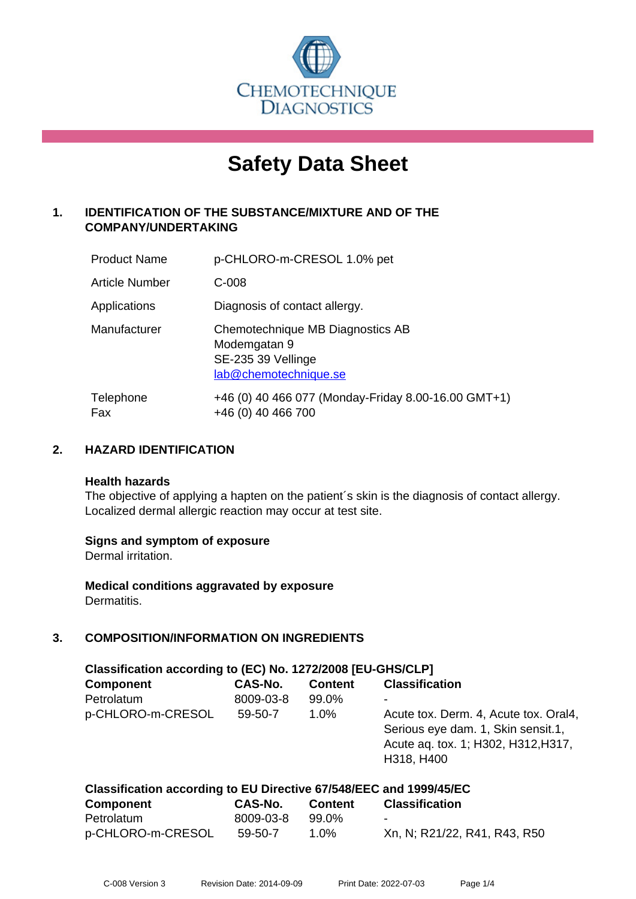

# **Safety Data Sheet**

# **1. IDENTIFICATION OF THE SUBSTANCE/MIXTURE AND OF THE COMPANY/UNDERTAKING**

| <b>Product Name</b>   | p-CHLORO-m-CRESOL 1.0% pet                                                                      |
|-----------------------|-------------------------------------------------------------------------------------------------|
| <b>Article Number</b> | $C-008$                                                                                         |
| Applications          | Diagnosis of contact allergy.                                                                   |
| Manufacturer          | Chemotechnique MB Diagnostics AB<br>Modemgatan 9<br>SE-235 39 Vellinge<br>lab@chemotechnique.se |
| Telephone<br>Fax      | +46 (0) 40 466 077 (Monday-Friday 8.00-16.00 GMT+1)<br>+46 (0) 40 466 700                       |

## **2. HAZARD IDENTIFICATION**

#### **Health hazards**

The objective of applying a hapten on the patient's skin is the diagnosis of contact allergy. Localized dermal allergic reaction may occur at test site.

#### **Signs and symptom of exposure**

Dermal irritation.

**Medical conditions aggravated by exposure** Dermatitis.

# **3. COMPOSITION/INFORMATION ON INGREDIENTS**

| Classification according to (EC) No. 1272/2008 [EU-GHS/CLP]        |           |                |                                                                                                                                  |  |  |
|--------------------------------------------------------------------|-----------|----------------|----------------------------------------------------------------------------------------------------------------------------------|--|--|
| <b>Component</b>                                                   | CAS-No.   | <b>Content</b> | <b>Classification</b>                                                                                                            |  |  |
| Petrolatum                                                         | 8009-03-8 | 99.0%          |                                                                                                                                  |  |  |
| p-CHLORO-m-CRESOL                                                  | 59-50-7   | 1.0%           | Acute tox. Derm. 4, Acute tox. Oral4,<br>Serious eye dam. 1, Skin sensit.1,<br>Acute aq. tox. 1; H302, H312, H317,<br>H318, H400 |  |  |
| Classification according to EU Directive 67/548/EEC and 1999/45/EC |           |                |                                                                                                                                  |  |  |
| <b>Component</b>                                                   | CAS-No.   | <b>Content</b> | <b>Classification</b>                                                                                                            |  |  |

| Petrolatum        | 8009-03-8 99.0% |      |                              |
|-------------------|-----------------|------|------------------------------|
| p-CHLORO-m-CRESOL | 59-50-7         | 1.0% | Xn, N; R21/22, R41, R43, R50 |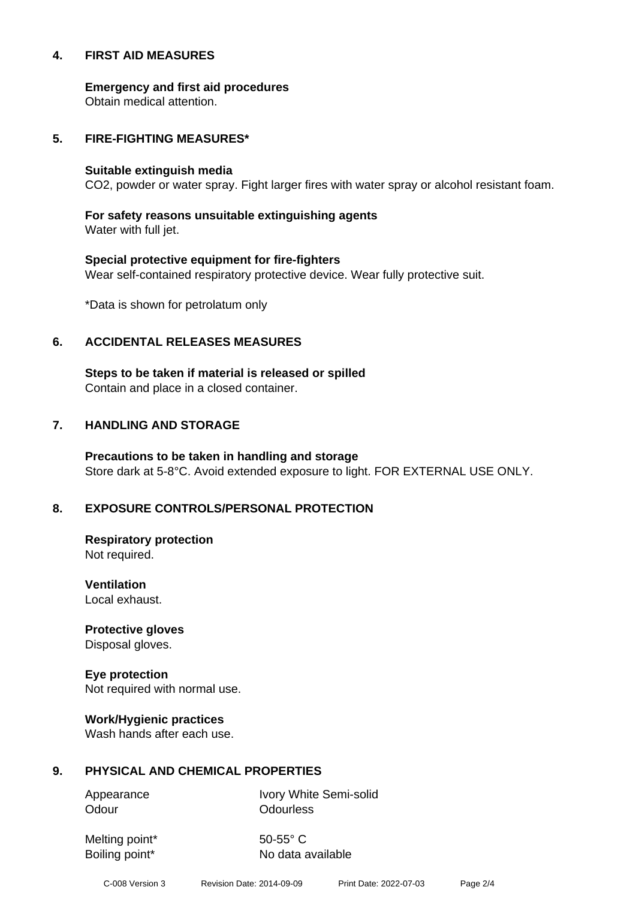#### **4. FIRST AID MEASURES**

**Emergency and first aid procedures**

Obtain medical attention.

#### **5. FIRE-FIGHTING MEASURES\***

#### **Suitable extinguish media**

CO2, powder or water spray. Fight larger fires with water spray or alcohol resistant foam.

# **For safety reasons unsuitable extinguishing agents**

Water with full jet.

# **Special protective equipment for fire-fighters** Wear self-contained respiratory protective device. Wear fully protective suit.

\*Data is shown for petrolatum only

## **6. ACCIDENTAL RELEASES MEASURES**

**Steps to be taken if material is released or spilled** Contain and place in a closed container.

# **7. HANDLING AND STORAGE**

**Precautions to be taken in handling and storage** Store dark at 5-8°C. Avoid extended exposure to light. FOR EXTERNAL USE ONLY.

# **8. EXPOSURE CONTROLS/PERSONAL PROTECTION**

**Respiratory protection** Not required.

**Ventilation** Local exhaust.

**Protective gloves** Disposal gloves.

# **Eye protection**

Not required with normal use.

#### **Work/Hygienic practices**

Wash hands after each use.

#### **9. PHYSICAL AND CHEMICAL PROPERTIES**

Odour **Odourless** 

Appearance Ivory White Semi-solid

Melting point\* 50-55° C

Boiling point\* No data available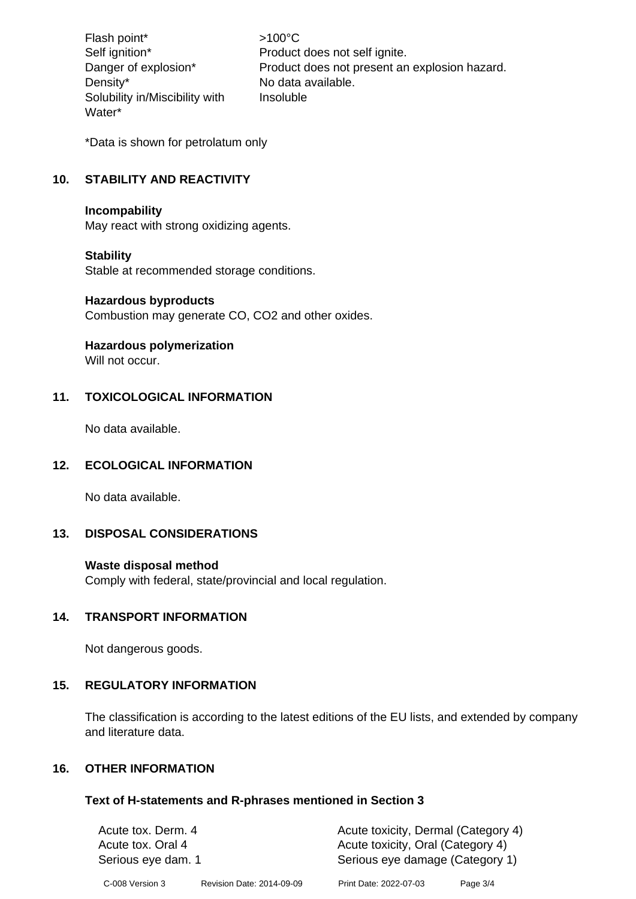Flash point\* >100°C Density\* No data available. Solubility in/Miscibility with Water\*

Self ignition\* Product does not self ignite. Danger of explosion\* Product does not present an explosion hazard. Insoluble

\*Data is shown for petrolatum only

# **10. STABILITY AND REACTIVITY**

#### **Incompability**

May react with strong oxidizing agents.

#### **Stability**

Stable at recommended storage conditions.

#### **Hazardous byproducts**

Combustion may generate CO, CO2 and other oxides.

#### **Hazardous polymerization**

Will not occur.

#### **11. TOXICOLOGICAL INFORMATION**

No data available.

#### **12. ECOLOGICAL INFORMATION**

No data available.

#### **13. DISPOSAL CONSIDERATIONS**

#### **Waste disposal method**

Comply with federal, state/provincial and local regulation.

#### **14. TRANSPORT INFORMATION**

Not dangerous goods.

#### **15. REGULATORY INFORMATION**

The classification is according to the latest editions of the EU lists, and extended by company and literature data.

#### **16. OTHER INFORMATION**

#### **Text of H-statements and R-phrases mentioned in Section 3**

| Acute tox. Derm. 4<br>Acute tox. Oral 4<br>Serious eye dam. 1 |                           | Acute toxicity, Dermal (Category 4)<br>Acute toxicity, Oral (Category 4)<br>Serious eye damage (Category 1) |          |
|---------------------------------------------------------------|---------------------------|-------------------------------------------------------------------------------------------------------------|----------|
| C-008 Version 3                                               | Revision Date: 2014-09-09 | Print Date: 2022-07-03                                                                                      | Page 3/4 |